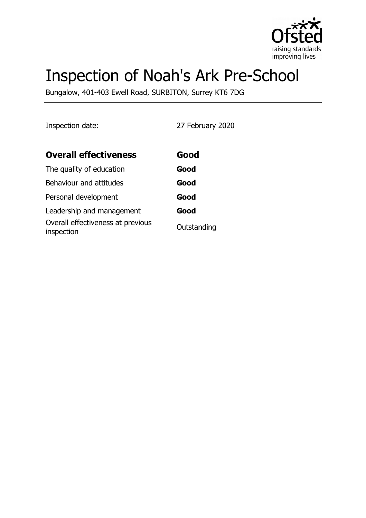

# Inspection of Noah's Ark Pre-School

Bungalow, 401-403 Ewell Road, SURBITON, Surrey KT6 7DG

Inspection date: 27 February 2020

| <b>Overall effectiveness</b>                    | Good        |
|-------------------------------------------------|-------------|
| The quality of education                        | Good        |
| Behaviour and attitudes                         | Good        |
| Personal development                            | Good        |
| Leadership and management                       | Good        |
| Overall effectiveness at previous<br>inspection | Outstanding |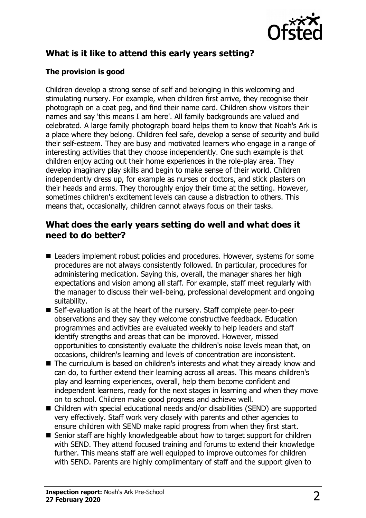

# **What is it like to attend this early years setting?**

#### **The provision is good**

Children develop a strong sense of self and belonging in this welcoming and stimulating nursery. For example, when children first arrive, they recognise their photograph on a coat peg, and find their name card. Children show visitors their names and say 'this means I am here'. All family backgrounds are valued and celebrated. A large family photograph board helps them to know that Noah's Ark is a place where they belong. Children feel safe, develop a sense of security and build their self-esteem. They are busy and motivated learners who engage in a range of interesting activities that they choose independently. One such example is that children enjoy acting out their home experiences in the role-play area. They develop imaginary play skills and begin to make sense of their world. Children independently dress up, for example as nurses or doctors, and stick plasters on their heads and arms. They thoroughly enjoy their time at the setting. However, sometimes children's excitement levels can cause a distraction to others. This means that, occasionally, children cannot always focus on their tasks.

#### **What does the early years setting do well and what does it need to do better?**

- $\blacksquare$  Leaders implement robust policies and procedures. However, systems for some procedures are not always consistently followed. In particular, procedures for administering medication. Saying this, overall, the manager shares her high expectations and vision among all staff. For example, staff meet regularly with the manager to discuss their well-being, professional development and ongoing suitability.
- Self-evaluation is at the heart of the nursery. Staff complete peer-to-peer observations and they say they welcome constructive feedback. Education programmes and activities are evaluated weekly to help leaders and staff identify strengths and areas that can be improved. However, missed opportunities to consistently evaluate the children's noise levels mean that, on occasions, children's learning and levels of concentration are inconsistent.
- $\blacksquare$  The curriculum is based on children's interests and what they already know and can do, to further extend their learning across all areas. This means children's play and learning experiences, overall, help them become confident and independent learners, ready for the next stages in learning and when they move on to school. Children make good progress and achieve well.
- Children with special educational needs and/or disabilities (SEND) are supported very effectively. Staff work very closely with parents and other agencies to ensure children with SEND make rapid progress from when they first start.
- $\blacksquare$  Senior staff are highly knowledgeable about how to target support for children with SEND. They attend focused training and forums to extend their knowledge further. This means staff are well equipped to improve outcomes for children with SEND. Parents are highly complimentary of staff and the support given to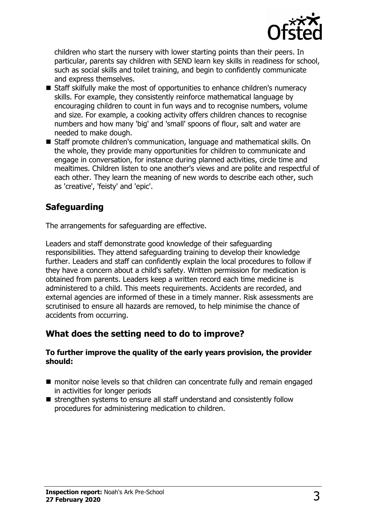

children who start the nursery with lower starting points than their peers. In particular, parents say children with SEND learn key skills in readiness for school, such as social skills and toilet training, and begin to confidently communicate and express themselves.

- Staff skilfully make the most of opportunities to enhance children's numeracy skills. For example, they consistently reinforce mathematical language by encouraging children to count in fun ways and to recognise numbers, volume and size. For example, a cooking activity offers children chances to recognise numbers and how many 'big' and 'small' spoons of flour, salt and water are needed to make dough.
- Staff promote children's communication, language and mathematical skills. On the whole, they provide many opportunities for children to communicate and engage in conversation, for instance during planned activities, circle time and mealtimes. Children listen to one another's views and are polite and respectful of each other. They learn the meaning of new words to describe each other, such as 'creative', 'feisty' and 'epic'.

## **Safeguarding**

The arrangements for safeguarding are effective.

Leaders and staff demonstrate good knowledge of their safeguarding responsibilities. They attend safeguarding training to develop their knowledge further. Leaders and staff can confidently explain the local procedures to follow if they have a concern about a child's safety. Written permission for medication is obtained from parents. Leaders keep a written record each time medicine is administered to a child. This meets requirements. Accidents are recorded, and external agencies are informed of these in a timely manner. Risk assessments are scrutinised to ensure all hazards are removed, to help minimise the chance of accidents from occurring.

#### **What does the setting need to do to improve?**

#### **To further improve the quality of the early years provision, the provider should:**

- $\blacksquare$  monitor noise levels so that children can concentrate fully and remain engaged in activities for longer periods
- $\blacksquare$  strengthen systems to ensure all staff understand and consistently follow procedures for administering medication to children.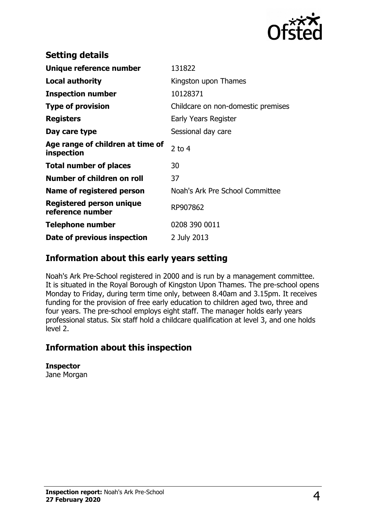

| <b>Setting details</b>                         |                                    |
|------------------------------------------------|------------------------------------|
| Unique reference number                        | 131822                             |
| Local authority                                | Kingston upon Thames               |
| <b>Inspection number</b>                       | 10128371                           |
| <b>Type of provision</b>                       | Childcare on non-domestic premises |
| <b>Registers</b>                               | Early Years Register               |
| Day care type                                  | Sessional day care                 |
| Age range of children at time of<br>inspection | 2 to $4$                           |
| <b>Total number of places</b>                  | 30                                 |
| Number of children on roll                     | 37                                 |
| Name of registered person                      | Noah's Ark Pre School Committee    |
| Registered person unique<br>reference number   | RP907862                           |
| <b>Telephone number</b>                        | 0208 390 0011                      |
| Date of previous inspection                    | 2 July 2013                        |

### **Information about this early years setting**

Noah's Ark Pre-School registered in 2000 and is run by a management committee. It is situated in the Royal Borough of Kingston Upon Thames. The pre-school opens Monday to Friday, during term time only, between 8.40am and 3.15pm. It receives funding for the provision of free early education to children aged two, three and four years. The pre-school employs eight staff. The manager holds early years professional status. Six staff hold a childcare qualification at level 3, and one holds level 2.

#### **Information about this inspection**

**Inspector** Jane Morgan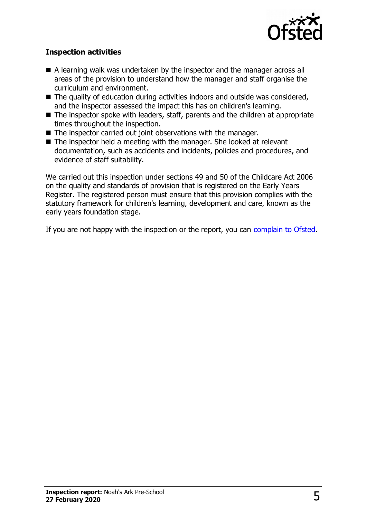

#### **Inspection activities**

- $\blacksquare$  A learning walk was undertaken by the inspector and the manager across all areas of the provision to understand how the manager and staff organise the curriculum and environment.
- $\blacksquare$  The quality of education during activities indoors and outside was considered, and the inspector assessed the impact this has on children's learning.
- $\blacksquare$  The inspector spoke with leaders, staff, parents and the children at appropriate times throughout the inspection.
- $\blacksquare$  The inspector carried out joint observations with the manager.
- $\blacksquare$  The inspector held a meeting with the manager. She looked at relevant documentation, such as accidents and incidents, policies and procedures, and evidence of staff suitability.

We carried out this inspection under sections 49 and 50 of the Childcare Act 2006 on the quality and standards of provision that is registered on the Early Years Register. The registered person must ensure that this provision complies with the statutory framework for children's learning, development and care, known as the early years foundation stage.

If you are not happy with the inspection or the report, you can [complain to Ofsted.](http://www.gov.uk/complain-ofsted-report)